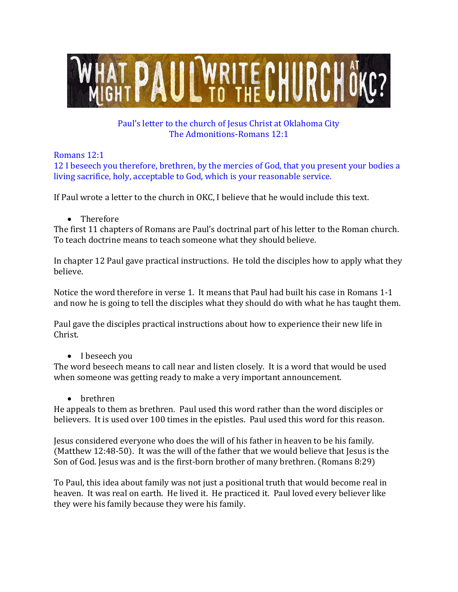

## Paul's letter to the church of Jesus Christ at Oklahoma City The Admonitions-Romans 12:1

Romans 12:1

12 I beseech you therefore, brethren, by the mercies of God, that you present your bodies a living sacrifice, holy, acceptable to God, which is your reasonable service.

If Paul wrote a letter to the church in OKC, I believe that he would include this text.

• Therefore

The first 11 chapters of Romans are Paul's doctrinal part of his letter to the Roman church. To teach doctrine means to teach someone what they should believe.

In chapter 12 Paul gave practical instructions. He told the disciples how to apply what they believe.

Notice the word therefore in verse 1. It means that Paul had built his case in Romans 1-1 and now he is going to tell the disciples what they should do with what he has taught them.

Paul gave the disciples practical instructions about how to experience their new life in Christ.

• I beseech you

The word beseech means to call near and listen closely. It is a word that would be used when someone was getting ready to make a very important announcement.

• brethren

He appeals to them as brethren. Paul used this word rather than the word disciples or believers. It is used over 100 times in the epistles. Paul used this word for this reason.

Jesus considered everyone who does the will of his father in heaven to be his family. (Matthew 12:48-50). It was the will of the father that we would believe that Jesus is the Son of God. Jesus was and is the first-born brother of many brethren. (Romans 8:29)

To Paul, this idea about family was not just a positional truth that would become real in heaven. It was real on earth. He lived it. He practiced it. Paul loved every believer like they were his family because they were his family.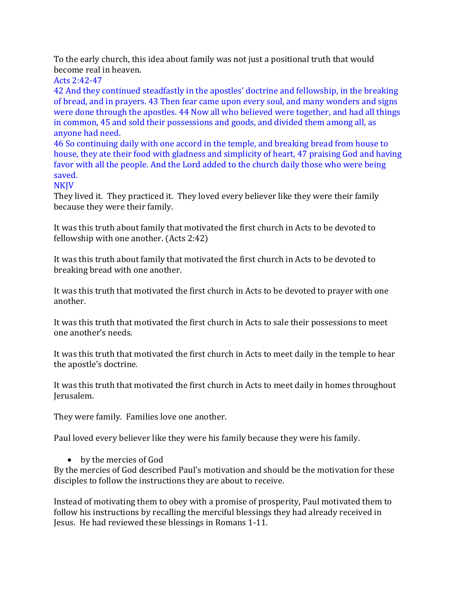To the early church, this idea about family was not just a positional truth that would become real in heaven.

Acts 2:42-47

42 And they continued steadfastly in the apostles' doctrine and fellowship, in the breaking of bread, and in prayers. 43 Then fear came upon every soul, and many wonders and signs were done through the apostles. 44 Now all who believed were together, and had all things in common, 45 and sold their possessions and goods, and divided them among all, as anyone had need.

46 So continuing daily with one accord in the temple, and breaking bread from house to house, they ate their food with gladness and simplicity of heart, 47 praising God and having favor with all the people. And the Lord added to the church daily those who were being saved.

**NKIV** 

They lived it. They practiced it. They loved every believer like they were their family because they were their family.

It was this truth about family that motivated the first church in Acts to be devoted to fellowship with one another. (Acts 2:42)

It was this truth about family that motivated the first church in Acts to be devoted to breaking bread with one another.

It was this truth that motivated the first church in Acts to be devoted to prayer with one another.

It was this truth that motivated the first church in Acts to sale their possessions to meet one another's needs.

It was this truth that motivated the first church in Acts to meet daily in the temple to hear the apostle's doctrine.

It was this truth that motivated the first church in Acts to meet daily in homes throughout Jerusalem.

They were family. Families love one another.

Paul loved every believer like they were his family because they were his family.

• by the mercies of God

By the mercies of God described Paul's motivation and should be the motivation for these disciples to follow the instructions they are about to receive.

Instead of motivating them to obey with a promise of prosperity, Paul motivated them to follow his instructions by recalling the merciful blessings they had already received in Jesus. He had reviewed these blessings in Romans 1-11.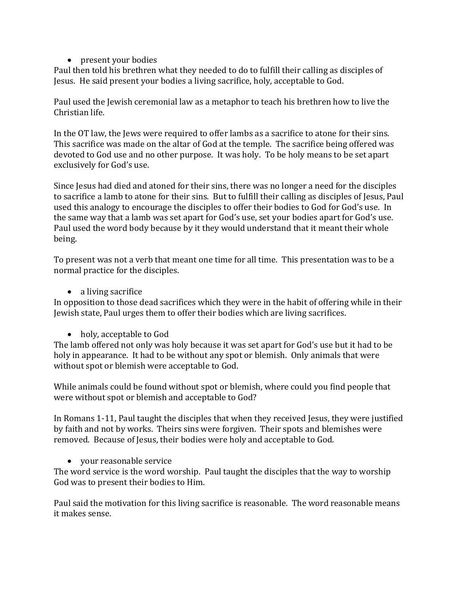• present your bodies

Paul then told his brethren what they needed to do to fulfill their calling as disciples of Jesus. He said present your bodies a living sacrifice, holy, acceptable to God.

Paul used the Jewish ceremonial law as a metaphor to teach his brethren how to live the Christian life.

In the OT law, the Jews were required to offer lambs as a sacrifice to atone for their sins. This sacrifice was made on the altar of God at the temple. The sacrifice being offered was devoted to God use and no other purpose. It was holy. To be holy means to be set apart exclusively for God's use.

Since Jesus had died and atoned for their sins, there was no longer a need for the disciples to sacrifice a lamb to atone for their sins. But to fulfill their calling as disciples of Jesus, Paul used this analogy to encourage the disciples to offer their bodies to God for God's use. In the same way that a lamb was set apart for God's use, set your bodies apart for God's use. Paul used the word body because by it they would understand that it meant their whole being.

To present was not a verb that meant one time for all time. This presentation was to be a normal practice for the disciples.

• a living sacrifice

In opposition to those dead sacrifices which they were in the habit of offering while in their Jewish state, Paul urges them to offer their bodies which are living sacrifices.

• holy, acceptable to God

The lamb offered not only was holy because it was set apart for God's use but it had to be holy in appearance. It had to be without any spot or blemish. Only animals that were without spot or blemish were acceptable to God.

While animals could be found without spot or blemish, where could you find people that were without spot or blemish and acceptable to God?

In Romans 1-11, Paul taught the disciples that when they received Jesus, they were justified by faith and not by works. Theirs sins were forgiven. Their spots and blemishes were removed. Because of Jesus, their bodies were holy and acceptable to God.

• your reasonable service

The word service is the word worship. Paul taught the disciples that the way to worship God was to present their bodies to Him.

Paul said the motivation for this living sacrifice is reasonable. The word reasonable means it makes sense.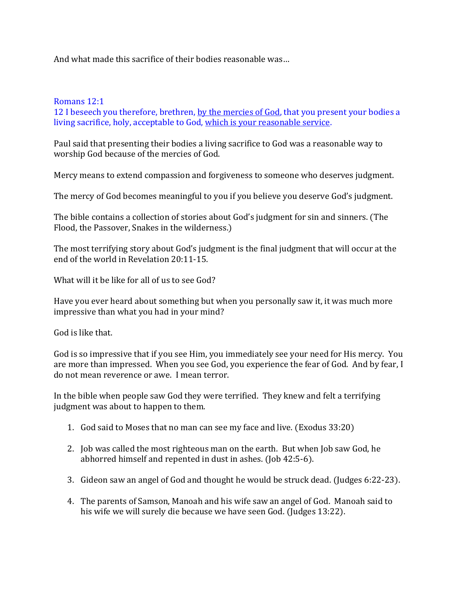And what made this sacrifice of their bodies reasonable was…

## Romans 12:1

12 I beseech you therefore, brethren, by the mercies of God, that you present your bodies a living sacrifice, holy, acceptable to God, which is your reasonable service.

Paul said that presenting their bodies a living sacrifice to God was a reasonable way to worship God because of the mercies of God.

Mercy means to extend compassion and forgiveness to someone who deserves judgment.

The mercy of God becomes meaningful to you if you believe you deserve God's judgment.

The bible contains a collection of stories about God's judgment for sin and sinners. (The Flood, the Passover, Snakes in the wilderness.)

The most terrifying story about God's judgment is the final judgment that will occur at the end of the world in Revelation 20:11-15.

What will it be like for all of us to see God?

Have you ever heard about something but when you personally saw it, it was much more impressive than what you had in your mind?

God is like that.

God is so impressive that if you see Him, you immediately see your need for His mercy. You are more than impressed. When you see God, you experience the fear of God. And by fear, I do not mean reverence or awe. I mean terror.

In the bible when people saw God they were terrified. They knew and felt a terrifying judgment was about to happen to them.

- 1. God said to Moses that no man can see my face and live. (Exodus 33:20)
- 2. Job was called the most righteous man on the earth. But when Job saw God, he abhorred himself and repented in dust in ashes. (Job 42:5-6).
- 3. Gideon saw an angel of God and thought he would be struck dead. (Judges 6:22-23).
- 4. The parents of Samson, Manoah and his wife saw an angel of God. Manoah said to his wife we will surely die because we have seen God. (Judges 13:22).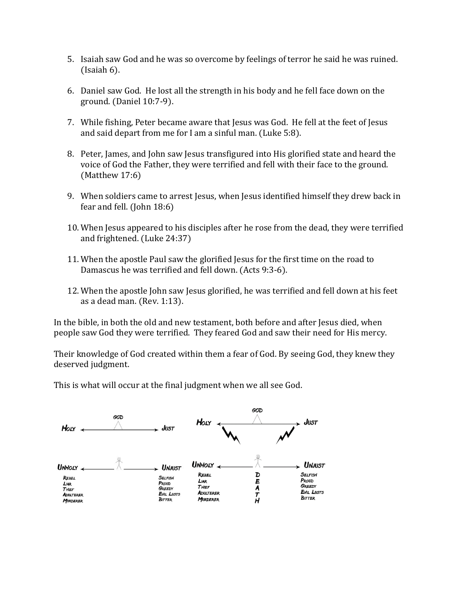- 5. Isaiah saw God and he was so overcome by feelings of terror he said he was ruined. (Isaiah 6).
- 6. Daniel saw God. He lost all the strength in his body and he fell face down on the ground. (Daniel 10:7-9).
- 7. While fishing, Peter became aware that Jesus was God. He fell at the feet of Jesus and said depart from me for I am a sinful man. (Luke 5:8).
- 8. Peter, James, and John saw Jesus transfigured into His glorified state and heard the voice of God the Father, they were terrified and fell with their face to the ground. (Matthew 17:6)
- 9. When soldiers came to arrest Jesus, when Jesus identified himself they drew back in fear and fell. (John 18:6)
- 10. When Jesus appeared to his disciples after he rose from the dead, they were terrified and frightened. (Luke 24:37)
- 11. When the apostle Paul saw the glorified Jesus for the first time on the road to Damascus he was terrified and fell down. (Acts 9:3-6).
- 12. When the apostle John saw Jesus glorified, he was terrified and fell down at his feet as a dead man. (Rev. 1:13).

In the bible, in both the old and new testament, both before and after Jesus died, when people saw God they were terrified. They feared God and saw their need for His mercy.

Their knowledge of God created within them a fear of God. By seeing God, they knew they deserved judgment.

This is what will occur at the final judgment when we all see God.